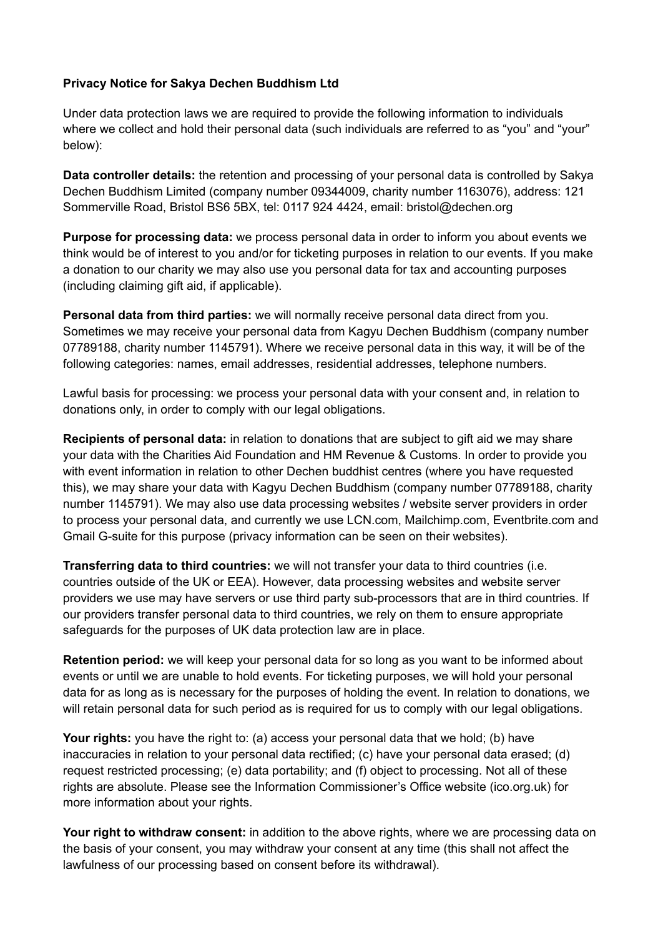## **Privacy Notice for Sakya Dechen Buddhism Ltd**

Under data protection laws we are required to provide the following information to individuals where we collect and hold their personal data (such individuals are referred to as "you" and "your" below):

**Data controller details:** the retention and processing of your personal data is controlled by Sakya Dechen Buddhism Limited (company number 09344009, charity number 1163076), address: 121 Sommerville Road, Bristol BS6 5BX, tel: 0117 924 4424, email: bristol@dechen.org

**Purpose for processing data:** we process personal data in order to inform you about events we think would be of interest to you and/or for ticketing purposes in relation to our events. If you make a donation to our charity we may also use you personal data for tax and accounting purposes (including claiming gift aid, if applicable).

**Personal data from third parties:** we will normally receive personal data direct from you. Sometimes we may receive your personal data from Kagyu Dechen Buddhism (company number 07789188, charity number 1145791). Where we receive personal data in this way, it will be of the following categories: names, email addresses, residential addresses, telephone numbers.

Lawful basis for processing: we process your personal data with your consent and, in relation to donations only, in order to comply with our legal obligations.

**Recipients of personal data:** in relation to donations that are subject to gift aid we may share your data with the Charities Aid Foundation and HM Revenue & Customs. In order to provide you with event information in relation to other Dechen buddhist centres (where you have requested this), we may share your data with Kagyu Dechen Buddhism (company number 07789188, charity number 1145791). We may also use data processing websites / website server providers in order to process your personal data, and currently we use LCN.com, Mailchimp.com, Eventbrite.com and Gmail G-suite for this purpose (privacy information can be seen on their websites).

**Transferring data to third countries:** we will not transfer your data to third countries (i.e. countries outside of the UK or EEA). However, data processing websites and website server providers we use may have servers or use third party sub-processors that are in third countries. If our providers transfer personal data to third countries, we rely on them to ensure appropriate safeguards for the purposes of UK data protection law are in place.

**Retention period:** we will keep your personal data for so long as you want to be informed about events or until we are unable to hold events. For ticketing purposes, we will hold your personal data for as long as is necessary for the purposes of holding the event. In relation to donations, we will retain personal data for such period as is required for us to comply with our legal obligations.

**Your rights:** you have the right to: (a) access your personal data that we hold; (b) have inaccuracies in relation to your personal data rectified; (c) have your personal data erased; (d) request restricted processing; (e) data portability; and (f) object to processing. Not all of these rights are absolute. Please see the Information Commissioner's Office website (ico.org.uk) for more information about your rights.

**Your right to withdraw consent:** in addition to the above rights, where we are processing data on the basis of your consent, you may withdraw your consent at any time (this shall not affect the lawfulness of our processing based on consent before its withdrawal).